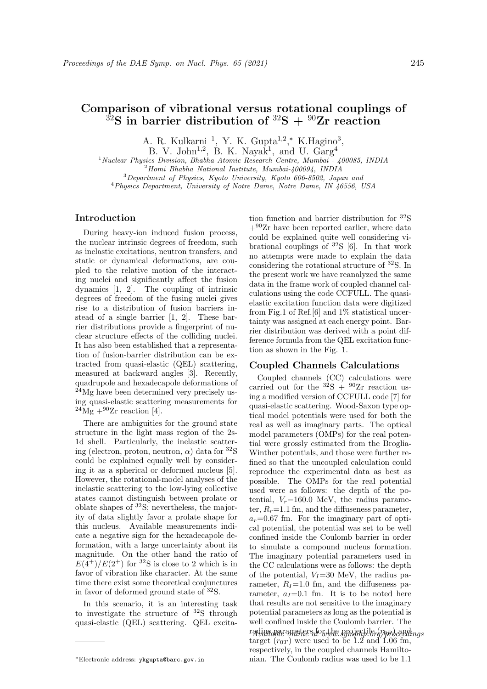# Comparison of vibrational versus rotational couplings of  $32S$  in barrier distribution of  $32S + 90Zr$  reaction

A. R. Kulkarni<sup>1</sup>, Y. K. Gupta<sup>1,2</sup>,\* K. Hagino<sup>3</sup>,

B. V. John<sup>1,2</sup>, B. K. Nayak<sup>1</sup>, and U.  $Garg^4$ 

<sup>1</sup> Nuclear Physics Division, Bhabha Atomic Research Centre, Mumbai - 400085, INDIA

 $^{2}$ Homi Bhabha National Institute, Mumbai- $400094$ , INDIA

<sup>3</sup>Department of Physics, Kyoto University, Kyoto 606-8502, Japan and <sup>4</sup>Physics Department, University of Notre Dame, Notre Dame, IN 46556, USA

## Introduction

During heavy-ion induced fusion process, the nuclear intrinsic degrees of freedom, such as inelastic excitations, neutron transfers, and static or dynamical deformations, are coupled to the relative motion of the interacting nuclei and significantly affect the fusion dynamics [1, 2]. The coupling of intrinsic degrees of freedom of the fusing nuclei gives rise to a distribution of fusion barriers instead of a single barrier [1, 2]. These barrier distributions provide a fingerprint of nuclear structure effects of the colliding nuclei. It has also been established that a representation of fusion-barrier distribution can be extracted from quasi-elastic (QEL) scattering, measured at backward angles [3]. Recently, quadrupole and hexadecapole deformations of  $^{24}$ Mg have been determined very precisely using quasi-elastic scattering measurements for  $^{24}$ Mg  $+^{90}$ Zr reaction [4].

There are ambiguities for the ground state structure in the light mass region of the 2s-1d shell. Particularly, the inelastic scattering (electron, proton, neutron,  $\alpha$ ) data for  ${}^{32}S$ could be explained equally well by considering it as a spherical or deformed nucleus [5]. However, the rotational-model analyses of the inelastic scattering to the low-lying collective states cannot distinguish between prolate or oblate shapes of <sup>32</sup>S; nevertheless, the majority of data slightly favor a prolate shape for this nucleus. Available measurements indicate a negative sign for the hexadecapole deformation, with a large uncertainty about its magnitude. On the other hand the ratio of  $E(4^+)/E(2^+)$  for <sup>32</sup>S is close to 2 which is in favor of vibration like character. At the same time there exist some theoretical conjunctures in favor of deformed ground state of <sup>32</sup>S.

In this scenario, it is an interesting task to investigate the structure of  $32S$  through quasi-elastic (QEL) scattering. QEL excitation function and barrier distribution for <sup>32</sup>S  $+90Zr$  have been reported earlier, where data could be explained quite well considering vibrational couplings of  $32S$  [6]. In that work no attempts were made to explain the data considering the rotational structure of <sup>32</sup>S. In the present work we have reanalyzed the same data in the frame work of coupled channel calculations using the code CCFULL. The quasielastic excitation function data were digitized from Fig.1 of Ref.[6] and 1% statistical uncertainty was assigned at each energy point. Barrier distribution was derived with a point difference formula from the QEL excitation function as shown in the Fig. 1.

## Coupled Channels Calculations

Coupled channels (CC) calculations were carried out for the  $^{32}S + ^{90}Zr$  reaction using a modified version of CCFULL code [7] for quasi-elastic scattering. Wood-Saxon type optical model potentials were used for both the real as well as imaginary parts. The optical model parameters (OMPs) for the real potential were grossly estimated from the Broglia-Winther potentials, and those were further refined so that the uncoupled calculation could reproduce the experimental data as best as possible. The OMPs for the real potential used were as follows: the depth of the potential,  $V_r = 160.0$  MeV, the radius parameter,  $R_r = 1.1$  fm, and the diffuseness parameter,  $a_r=0.67$  fm. For the imaginary part of optical potential, the potential was set to be well confined inside the Coulomb barrier in order to simulate a compound nucleus formation. The imaginary potential parameters used in the CC calculations were as follows: the depth of the potential,  $V_I=30$  MeV, the radius parameter,  $R_I$ =1.0 fm, and the diffuseness parameter,  $a_I=0.1$  fm. It is to be noted here that results are not sensitive to the imaginary potential parameters as long as the potential is well confined inside the Coulomb barrier. The radius parameters for the sympapiler (romoceedings target  $(r_{0T})$  were used to be 1.2 and 1.06 fm, respectively, in the coupled channels Hamiltonian. The Coulomb radius was used to be 1.1

<sup>∗</sup>Electronic address: ykgupta@barc.gov.in